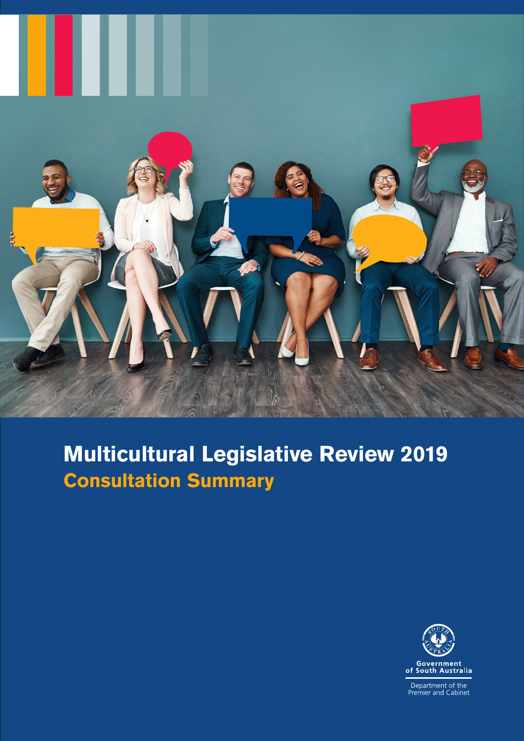

# **Multicultural Legislative Review 2019 Consultation Summary**



Department of the<br>Premier and Cabinet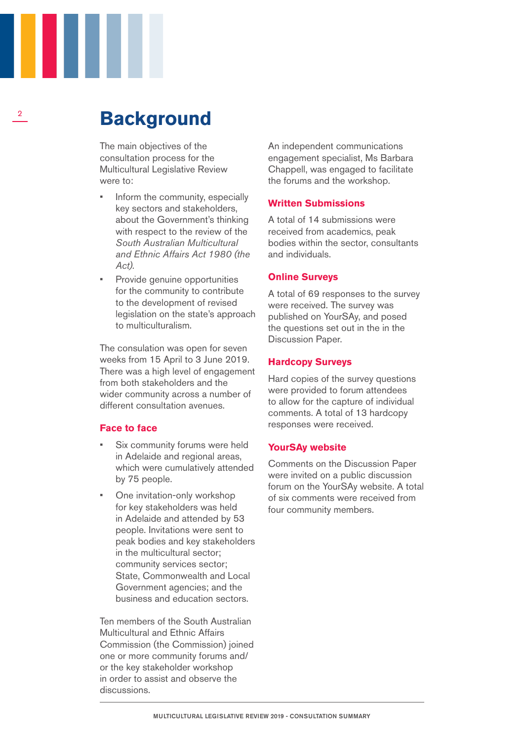### **Background**

The main objectives of the consultation process for the Multicultural Legislative Review were to:

- Inform the community, especially key sectors and stakeholders, about the Government's thinking with respect to the review of the *South Australian Multicultural and Ethnic Affairs Act 1980 (the Act).*
- Provide genuine opportunities for the community to contribute to the development of revised legislation on the state's approach to multiculturalism.

The consulation was open for seven weeks from 15 April to 3 June 2019. There was a high level of engagement from both stakeholders and the wider community across a number of different consultation avenues.

#### **Face to face**

- Six community forums were held in Adelaide and regional areas, which were cumulatively attended by 75 people.
- One invitation-only workshop for key stakeholders was held in Adelaide and attended by 53 people. Invitations were sent to peak bodies and key stakeholders in the multicultural sector; community services sector; State, Commonwealth and Local Government agencies; and the business and education sectors.

Ten members of the South Australian Multicultural and Ethnic Affairs Commission (the Commission) joined one or more community forums and/ or the key stakeholder workshop in order to assist and observe the discussions.

An independent communications engagement specialist, Ms Barbara Chappell, was engaged to facilitate the forums and the workshop.

#### **Written Submissions**

A total of 14 submissions were received from academics, peak bodies within the sector, consultants and individuals.

#### **Online Surveys**

A total of 69 responses to the survey were received. The survey was published on YourSAy, and posed the questions set out in the in the Discussion Paper.

#### **Hardcopy Surveys**

Hard copies of the survey questions were provided to forum attendees to allow for the capture of individual comments. A total of 13 hardcopy responses were received.

#### **YourSAy website**

Comments on the Discussion Paper were invited on a public discussion forum on the YourSAy website. A total of six comments were received from four community members.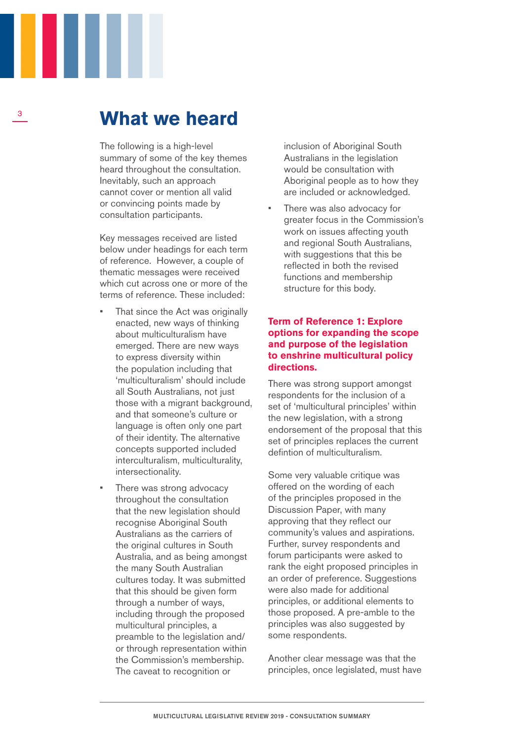### **What we heard**

The following is a high-level summary of some of the key themes heard throughout the consultation. Inevitably, such an approach cannot cover or mention all valid or convincing points made by consultation participants.

Key messages received are listed below under headings for each term of reference. However, a couple of thematic messages were received which cut across one or more of the terms of reference. These included:

- That since the Act was originally enacted, new ways of thinking about multiculturalism have emerged. There are new ways to express diversity within the population including that 'multiculturalism' should include all South Australians, not just those with a migrant background, and that someone's culture or language is often only one part of their identity. The alternative concepts supported included interculturalism, multiculturality, intersectionality.
- There was strong advocacy throughout the consultation that the new legislation should recognise Aboriginal South Australians as the carriers of the original cultures in South Australia, and as being amongst the many South Australian cultures today. It was submitted that this should be given form through a number of ways, including through the proposed multicultural principles, a preamble to the legislation and/ or through representation within the Commission's membership. The caveat to recognition or

inclusion of Aboriginal South Australians in the legislation would be consultation with Aboriginal people as to how they are included or acknowledged.

There was also advocacy for greater focus in the Commission's work on issues affecting youth and regional South Australians, with suggestions that this be reflected in both the revised functions and membership structure for this body.

#### **Term of Reference 1: Explore options for expanding the scope and purpose of the legislation to enshrine multicultural policy directions.**

There was strong support amongst respondents for the inclusion of a set of 'multicultural principles' within the new legislation, with a strong endorsement of the proposal that this set of principles replaces the current defintion of multiculturalism.

Some very valuable critique was offered on the wording of each of the principles proposed in the Discussion Paper, with many approving that they reflect our community's values and aspirations. Further, survey respondents and forum participants were asked to rank the eight proposed principles in an order of preference. Suggestions were also made for additional principles, or additional elements to those proposed. A pre-amble to the principles was also suggested by some respondents.

Another clear message was that the principles, once legislated, must have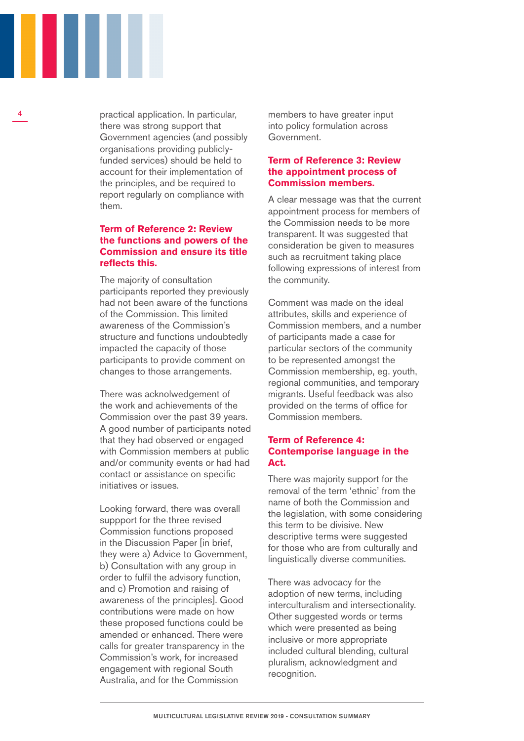

4

practical application. In particular, there was strong support that Government agencies (and possibly organisations providing publiclyfunded services) should be held to account for their implementation of the principles, and be required to report regularly on compliance with them.

#### **Term of Reference 2: Review the functions and powers of the Commission and ensure its title reflects this.**

The majority of consultation participants reported they previously had not been aware of the functions of the Commission. This limited awareness of the Commission's structure and functions undoubtedly impacted the capacity of those participants to provide comment on changes to those arrangements.

There was acknolwedgement of the work and achievements of the Commission over the past 39 years. A good number of participants noted that they had observed or engaged with Commission members at public and/or community events or had had contact or assistance on specific initiatives or issues.

Looking forward, there was overall suppport for the three revised Commission functions proposed in the Discussion Paper [in brief, they were a) Advice to Government, b) Consultation with any group in order to fulfil the advisory function, and c) Promotion and raising of awareness of the principles]. Good contributions were made on how these proposed functions could be amended or enhanced. There were calls for greater transparency in the Commission's work, for increased engagement with regional South Australia, and for the Commission

members to have greater input into policy formulation across Government.

#### **Term of Reference 3: Review the appointment process of Commission members.**

A clear message was that the current appointment process for members of the Commission needs to be more transparent. It was suggested that consideration be given to measures such as recruitment taking place following expressions of interest from the community.

Comment was made on the ideal attributes, skills and experience of Commission members, and a number of participants made a case for particular sectors of the community to be represented amongst the Commission membership, eg. youth, regional communities, and temporary migrants. Useful feedback was also provided on the terms of office for Commission members.

#### **Term of Reference 4: Contemporise language in the Act.**

There was majority support for the removal of the term 'ethnic' from the name of both the Commission and the legislation, with some considering this term to be divisive. New descriptive terms were suggested for those who are from culturally and linguistically diverse communities.

There was advocacy for the adoption of new terms, including interculturalism and intersectionality. Other suggested words or terms which were presented as being inclusive or more appropriate included cultural blending, cultural pluralism, acknowledgment and recognition.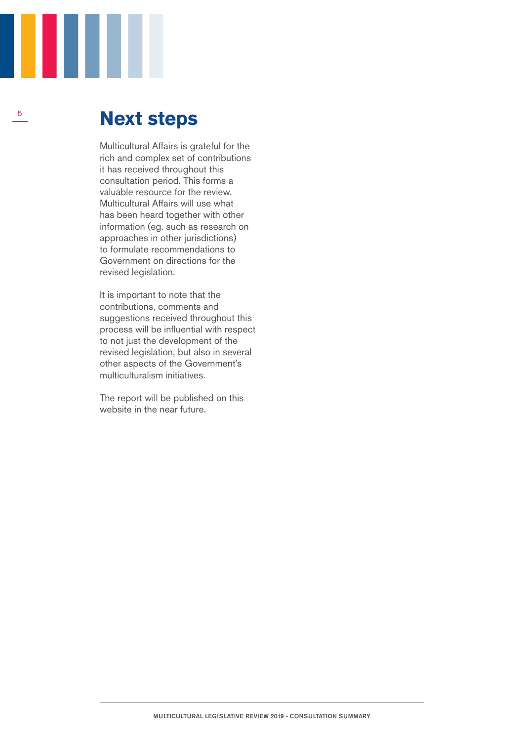

5

## **Next steps**

Multicultural Affairs is grateful for the rich and complex set of contributions it has received throughout this consultation period. This forms a valuable resource for the review. Multicultural Affairs will use what has been heard together with other information (eg. such as research on approaches in other jurisdictions) to formulate recommendations to Government on directions for the revised legislation.

It is important to note that the contributions, comments and suggestions received throughout this process will be influential with respect to not just the development of the revised legislation, but also in several other aspects of the Government's multiculturalism initiatives.

The report will be published on this website in the near future.